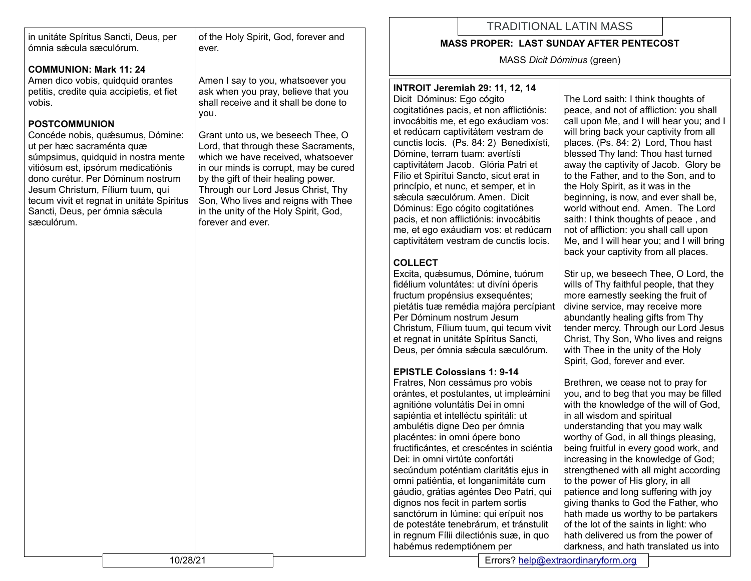| in unitáte Spíritus Sancti, Deus, per |  |
|---------------------------------------|--|
| ómnia sæcula sæculórum.               |  |

## **COMMUNION: Mark 11: 24**

Amen dico vobis, quidquid orantes petitis, credite quia accipietis, et fiet vobis.

# **POSTCOMMUNION**

Concéde nobis, quésumus, Dómine: ut per hæc sacraménta quæ súmpsimus, quidquid in nostra mente vitiósum est, ipsórum medicatiónis dono curétur. Per Dóminum nostrum Jesum Christum, Fílium tuum, qui tecum vivit et regnat in unitáte Spíritus Sancti, Deus, per ómnia sæcula sæculórum.

of the Holy Spirit, God, forever and ever.

Amen I say to you, whatsoever you ask when you pray, believe that you shall receive and it shall be done to you.

Grant unto us, we beseech Thee, O Lord, that through these Sacraments, which we have received, whatsoever in our minds is corrupt, may be cured by the gift of their healing power. Through our Lord Jesus Christ, Thy Son, Who lives and reigns with Thee in the unity of the Holy Spirit, God, forever and ever.

# TRADITIONAL LATIN MASS

#### **MASS PROPER: LAST SUNDAY AFTER PENTECOST**

MASS *Dicit Dóminus* (green)

### **INTROIT Jeremiah 29: 11, 12, 14**

Dicit Dóminus: Ego cógito cogitatiónes pacis, et non afflictiónis: invocábitis me, et ego exáudiam vos: et redúcam captivitátem vestram de cunctis locis. (Ps. 84: 2) Benedixísti, Dómine, terram tuam: avertísti captivitátem Jacob. Glória Patri et Fílio et Spirítui Sancto, sicut erat in princípio, et nunc, et semper, et in sæcula sæculórum. Amen. Dicit Dóminus: Ego cógito cogitatiónes pacis, et non afflictiónis: invocábitis me, et ego exáudiam vos: et redúcam captivitátem vestram de cunctis locis.

# **COLLECT**

Excita, quǽsumus, Dómine, tuórum fidélium voluntátes: ut divíni óperis fructum propénsius exsequéntes; pietátis tuæ remédia majóra percípiant Per Dóminum nostrum Jesum Christum, Fílium tuum, qui tecum vivit et regnat in unitáte Spíritus Sancti, Deus, per ómnia sǽcula sæculórum.

## **EPISTLE Colossians 1: 9-14**

Fratres, Non cessámus pro vobis orántes, et postulantes, ut impleámini agnitióne voluntátis Dei in omni sapiéntia et intelléctu spiritáli: ut ambulétis digne Deo per ómnia placéntes: in omni ópere bono fructificántes, et crescéntes in sciéntia Dei: in omni virtúte confortáti secúndum poténtiam claritátis ejus in omni patiéntia, et Ionganimitáte cum gáudio, grátias agéntes Deo Patri, qui dignos nos fecit in partem sortis sanctórum in Iúmine: qui erípuit nos de potestáte tenebrárum, et tránstulit in regnum Fílii dilectiónis suæ, in quo habémus redemptiónem per

The Lord saith: I think thoughts of peace, and not of affliction: you shall call upon Me, and I will hear you; and I will bring back your captivity from all places. (Ps. 84: 2) Lord, Thou hast blessed Thy land: Thou hast turned away the captivity of Jacob. Glory be to the Father, and to the Son, and to the Holy Spirit, as it was in the beginning, is now, and ever shall be, world without end. Amen. The Lord saith: I think thoughts of peace , and not of affliction: you shall call upon Me, and I will hear you; and I will bring back your captivity from all places.

Stir up, we beseech Thee, O Lord, the wills of Thy faithful people, that they more earnestly seeking the fruit of divine service, may receive more abundantly healing gifts from Thy tender mercy. Through our Lord Jesus Christ, Thy Son, Who lives and reigns with Thee in the unity of the Holy Spirit, God, forever and ever.

Brethren, we cease not to pray for you, and to beg that you may be filled with the knowledge of the will of God, in all wisdom and spiritual understanding that you may walk worthy of God, in all things pleasing, being fruitful in every good work, and increasing in the knowledge of God; strengthened with all might according to the power of His glory, in all patience and long suffering with joy giving thanks to God the Father, who hath made us worthy to be partakers of the lot of the saints in light: who hath delivered us from the power of darkness, and hath translated us into